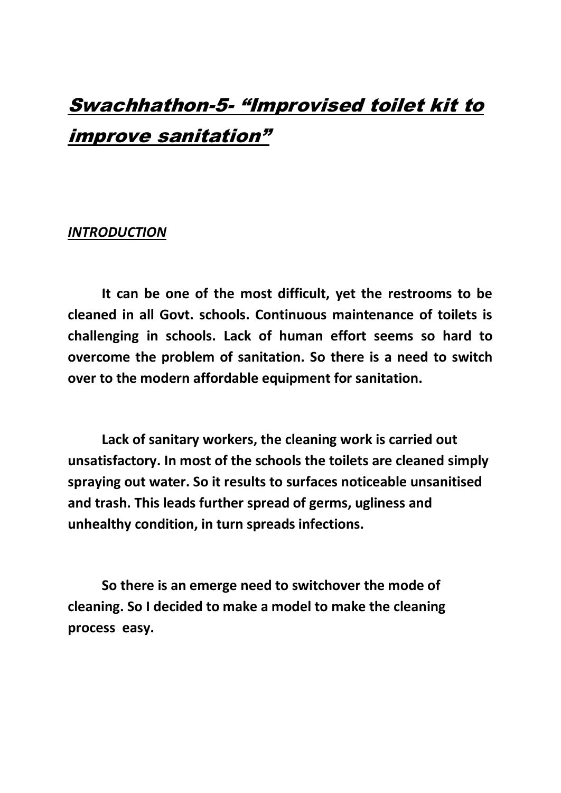# Swachhathon-5- "Improvised toilet kit to improve sanitation"

#### *INTRODUCTION*

**It can be one of the most difficult, yet the restrooms to be cleaned in all Govt. schools. Continuous maintenance of toilets is challenging in schools. Lack of human effort seems so hard to overcome the problem of sanitation. So there is a need to switch over to the modern affordable equipment for sanitation.** 

**Lack of sanitary workers, the cleaning work is carried out unsatisfactory. In most of the schools the toilets are cleaned simply spraying out water. So it results to surfaces noticeable unsanitised and trash. This leads further spread of germs, ugliness and unhealthy condition, in turn spreads infections.** 

**So there is an emerge need to switchover the mode of cleaning. So I decided to make a model to make the cleaning process easy.**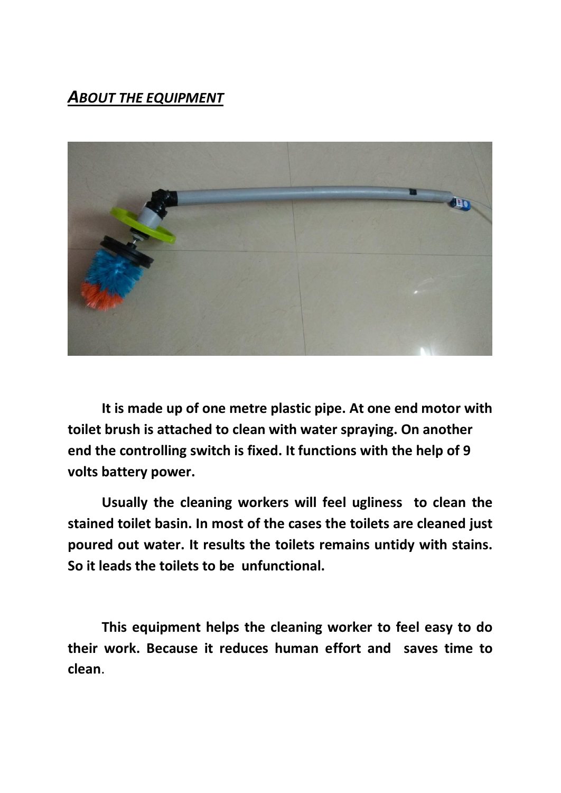# *ABOUT THE EQUIPMENT*



**It is made up of one metre plastic pipe. At one end motor with toilet brush is attached to clean with water spraying. On another end the controlling switch is fixed. It functions with the help of 9 volts battery power.**

**Usually the cleaning workers will feel ugliness to clean the stained toilet basin. In most of the cases the toilets are cleaned just poured out water. It results the toilets remains untidy with stains. So it leads the toilets to be unfunctional.** 

**This equipment helps the cleaning worker to feel easy to do their work. Because it reduces human effort and saves time to clean**.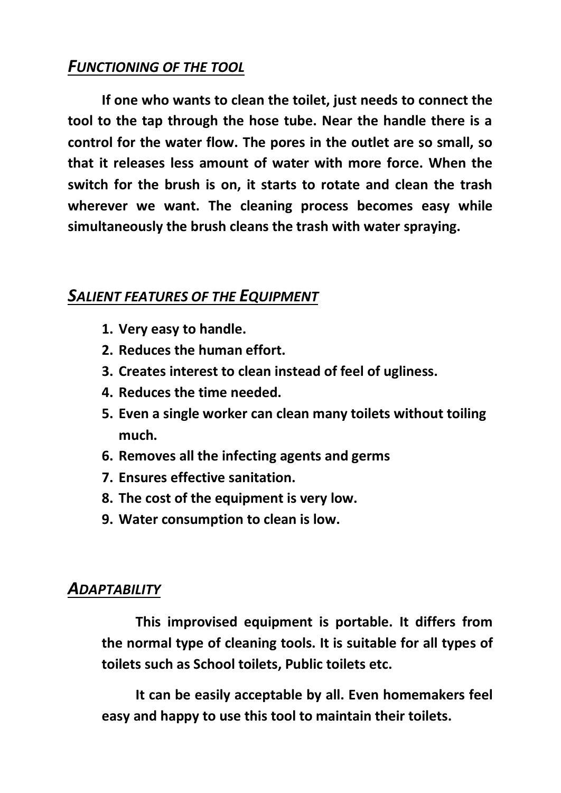# *FUNCTIONING OF THE TOOL*

**If one who wants to clean the toilet, just needs to connect the tool to the tap through the hose tube. Near the handle there is a control for the water flow. The pores in the outlet are so small, so that it releases less amount of water with more force. When the switch for the brush is on, it starts to rotate and clean the trash wherever we want. The cleaning process becomes easy while simultaneously the brush cleans the trash with water spraying.**

#### *SALIENT FEATURES OF THE EQUIPMENT*

- **1. Very easy to handle.**
- **2. Reduces the human effort.**
- **3. Creates interest to clean instead of feel of ugliness.**
- **4. Reduces the time needed.**
- **5. Even a single worker can clean many toilets without toiling much.**
- **6. Removes all the infecting agents and germs**
- **7. Ensures effective sanitation.**
- **8. The cost of the equipment is very low.**
- **9. Water consumption to clean is low.**

### *ADAPTABILITY*

**This improvised equipment is portable. It differs from the normal type of cleaning tools. It is suitable for all types of toilets such as School toilets, Public toilets etc.**

**It can be easily acceptable by all. Even homemakers feel easy and happy to use this tool to maintain their toilets.**